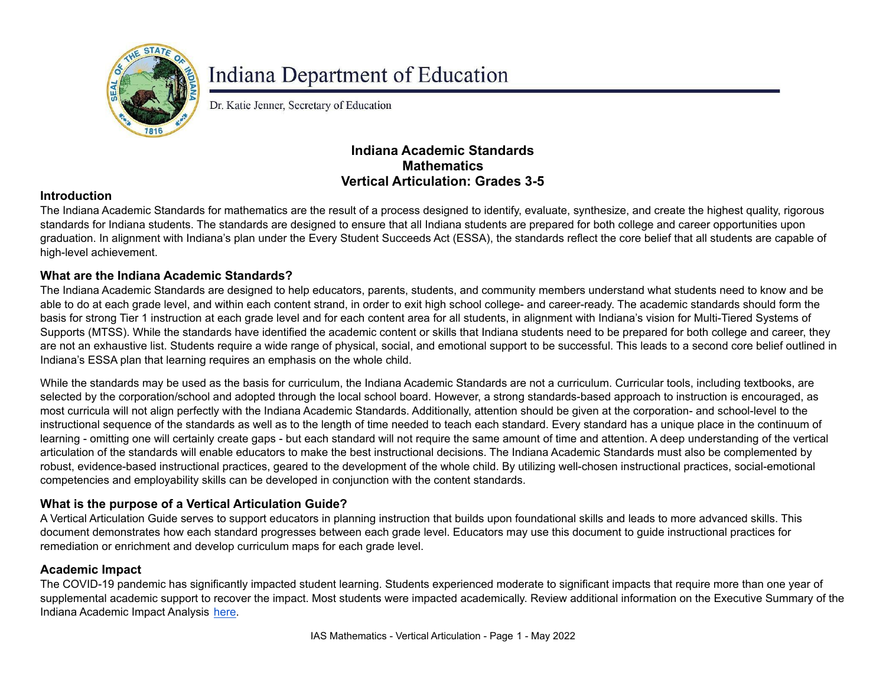

# **Indiana Department of Education**

Dr. Katie Jenner, Secretary of Education

## **Indiana Academic Standards Mathematics Vertical Articulation: Grades 3-5**

### **Introduction**

The Indiana Academic Standards for mathematics are the result of a process designed to identify, evaluate, synthesize, and create the highest quality, rigorous standards for Indiana students. The standards are designed to ensure that all Indiana students are prepared for both college and career opportunities upon graduation. In alignment with Indiana's plan under the Every Student Succeeds Act (ESSA), the standards reflect the core belief that all students are capable of high-level achievement.

#### **What are the Indiana Academic Standards?**

The Indiana Academic Standards are designed to help educators, parents, students, and community members understand what students need to know and be able to do at each grade level, and within each content strand, in order to exit high school college- and career-ready. The academic standards should form the basis for strong Tier 1 instruction at each grade level and for each content area for all students, in alignment with Indiana's vision for Multi-Tiered Systems of Supports (MTSS). While the standards have identified the academic content or skills that Indiana students need to be prepared for both college and career, they are not an exhaustive list. Students require a wide range of physical, social, and emotional support to be successful. This leads to a second core belief outlined in Indiana's ESSA plan that learning requires an emphasis on the whole child.

While the standards may be used as the basis for curriculum, the Indiana Academic Standards are not a curriculum. Curricular tools, including textbooks, are selected by the corporation/school and adopted through the local school board. However, a strong standards-based approach to instruction is encouraged, as most curricula will not align perfectly with the Indiana Academic Standards. Additionally, attention should be given at the corporation- and school-level to the instructional sequence of the standards as well as to the length of time needed to teach each standard. Every standard has a unique place in the continuum of learning - omitting one will certainly create gaps - but each standard will not require the same amount of time and attention. A deep understanding of the vertical articulation of the standards will enable educators to make the best instructional decisions. The Indiana Academic Standards must also be complemented by robust, evidence-based instructional practices, geared to the development of the whole child. By utilizing well-chosen instructional practices, social-emotional competencies and employability skills can be developed in conjunction with the content standards.

#### **What is the purpose of a Vertical Articulation Guide?**

A Vertical Articulation Guide serves to support educators in planning instruction that builds upon foundational skills and leads to more advanced skills. This document demonstrates how each standard progresses between each grade level. Educators may use this document to guide instructional practices for remediation or enrichment and develop curriculum maps for each grade level.

#### **Academic Impact**

The COVID-19 pandemic has significantly impacted student learning. Students experienced moderate to significant impacts that require more than one year of supplemental academic support to recover the impact. Most students were impacted academically. Review additional information on the Executive Summary of the Indiana Academic Impact Analysis [here](https://media.doe.in.gov/assessment/7.14.21-sboe-presentation.pdf).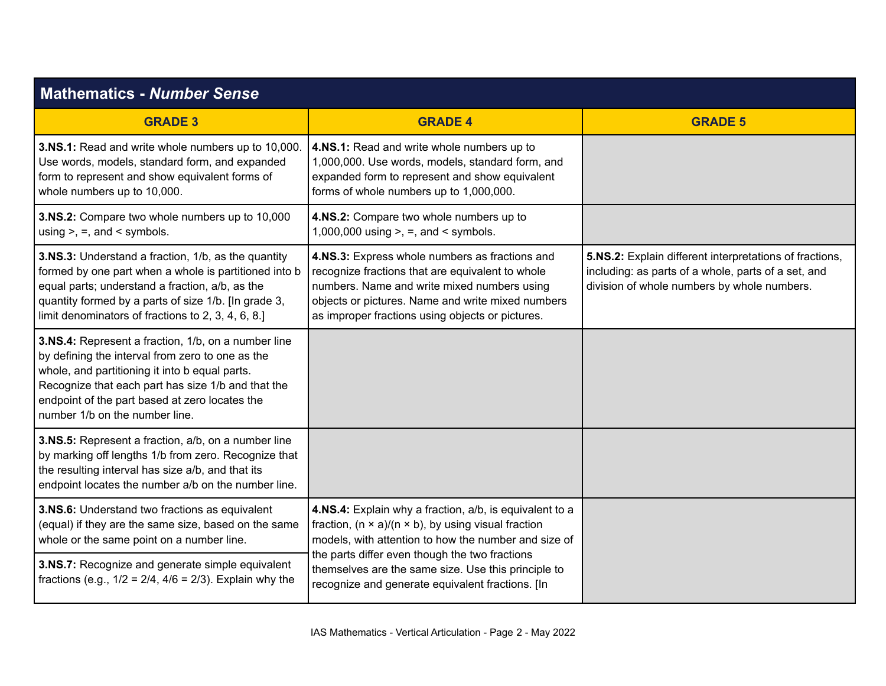| <b>Mathematics - Number Sense</b>                                                                                                                                                                                                                                                                   |                                                                                                                                                                                                                                                            |                                                                                                                                                               |
|-----------------------------------------------------------------------------------------------------------------------------------------------------------------------------------------------------------------------------------------------------------------------------------------------------|------------------------------------------------------------------------------------------------------------------------------------------------------------------------------------------------------------------------------------------------------------|---------------------------------------------------------------------------------------------------------------------------------------------------------------|
| <b>GRADE 3</b>                                                                                                                                                                                                                                                                                      | <b>GRADE 4</b>                                                                                                                                                                                                                                             | <b>GRADE 5</b>                                                                                                                                                |
| 3.NS.1: Read and write whole numbers up to 10,000.<br>Use words, models, standard form, and expanded<br>form to represent and show equivalent forms of<br>whole numbers up to 10,000.                                                                                                               | 4.NS.1: Read and write whole numbers up to<br>1,000,000. Use words, models, standard form, and<br>expanded form to represent and show equivalent<br>forms of whole numbers up to 1,000,000.                                                                |                                                                                                                                                               |
| 3.NS.2: Compare two whole numbers up to 10,000<br>using $> =$ , and $\le$ symbols.                                                                                                                                                                                                                  | 4.NS.2: Compare two whole numbers up to<br>1,000,000 using $>$ , $=$ , and $\lt$ symbols.                                                                                                                                                                  |                                                                                                                                                               |
| 3.NS.3: Understand a fraction, 1/b, as the quantity<br>formed by one part when a whole is partitioned into b<br>equal parts; understand a fraction, a/b, as the<br>quantity formed by a parts of size 1/b. [In grade 3,<br>limit denominators of fractions to 2, 3, 4, 6, 8.]                       | 4.NS.3: Express whole numbers as fractions and<br>recognize fractions that are equivalent to whole<br>numbers. Name and write mixed numbers using<br>objects or pictures. Name and write mixed numbers<br>as improper fractions using objects or pictures. | 5.NS.2: Explain different interpretations of fractions,<br>including: as parts of a whole, parts of a set, and<br>division of whole numbers by whole numbers. |
| 3.NS.4: Represent a fraction, 1/b, on a number line<br>by defining the interval from zero to one as the<br>whole, and partitioning it into b equal parts.<br>Recognize that each part has size 1/b and that the<br>endpoint of the part based at zero locates the<br>number 1/b on the number line. |                                                                                                                                                                                                                                                            |                                                                                                                                                               |
| 3.NS.5: Represent a fraction, a/b, on a number line<br>by marking off lengths 1/b from zero. Recognize that<br>the resulting interval has size a/b, and that its<br>endpoint locates the number a/b on the number line.                                                                             |                                                                                                                                                                                                                                                            |                                                                                                                                                               |
| 3.NS.6: Understand two fractions as equivalent<br>(equal) if they are the same size, based on the same<br>whole or the same point on a number line.                                                                                                                                                 | 4.NS.4: Explain why a fraction, a/b, is equivalent to a<br>fraction, $(n \times a)/(n \times b)$ , by using visual fraction<br>models, with attention to how the number and size of                                                                        |                                                                                                                                                               |
| 3.NS.7: Recognize and generate simple equivalent<br>fractions (e.g., $1/2 = 2/4$ , $4/6 = 2/3$ ). Explain why the                                                                                                                                                                                   | the parts differ even though the two fractions<br>themselves are the same size. Use this principle to<br>recognize and generate equivalent fractions. [In                                                                                                  |                                                                                                                                                               |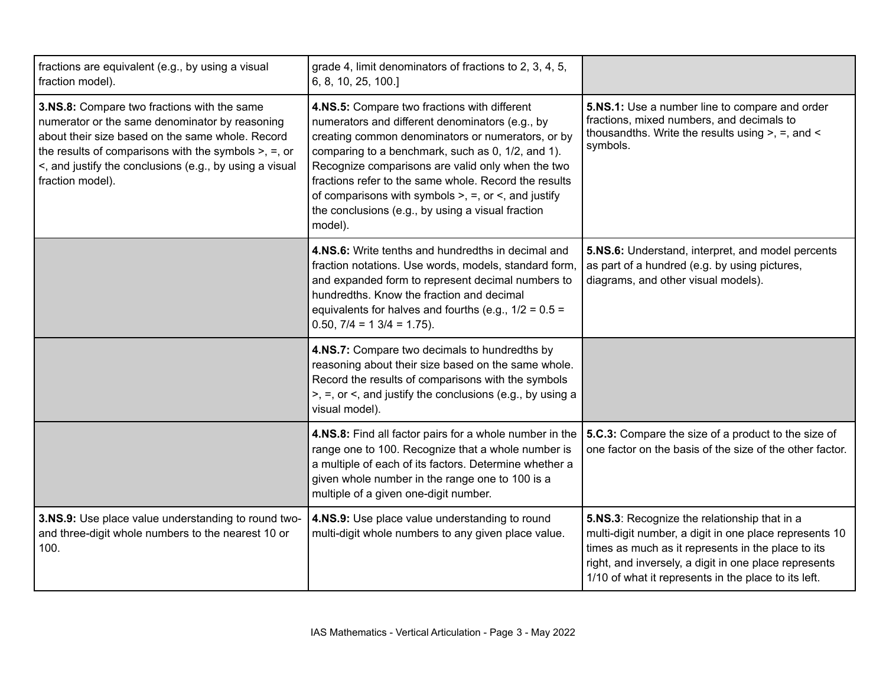| fractions are equivalent (e.g., by using a visual<br>fraction model).                                                                                                                                                                                                                                 | grade 4, limit denominators of fractions to 2, 3, 4, 5,<br>6, 8, 10, 25, 100.]                                                                                                                                                                                                                                                                                                                                                                            |                                                                                                                                                                                                                                                                               |
|-------------------------------------------------------------------------------------------------------------------------------------------------------------------------------------------------------------------------------------------------------------------------------------------------------|-----------------------------------------------------------------------------------------------------------------------------------------------------------------------------------------------------------------------------------------------------------------------------------------------------------------------------------------------------------------------------------------------------------------------------------------------------------|-------------------------------------------------------------------------------------------------------------------------------------------------------------------------------------------------------------------------------------------------------------------------------|
| <b>3.NS.8:</b> Compare two fractions with the same<br>numerator or the same denominator by reasoning<br>about their size based on the same whole. Record<br>the results of comparisons with the symbols $>$ , $=$ , or<br><, and justify the conclusions (e.g., by using a visual<br>fraction model). | 4.NS.5: Compare two fractions with different<br>numerators and different denominators (e.g., by<br>creating common denominators or numerators, or by<br>comparing to a benchmark, such as 0, 1/2, and 1).<br>Recognize comparisons are valid only when the two<br>fractions refer to the same whole. Record the results<br>of comparisons with symbols $>$ , $=$ , or $\lt$ , and justify<br>the conclusions (e.g., by using a visual fraction<br>model). | 5.NS.1: Use a number line to compare and order<br>fractions, mixed numbers, and decimals to<br>thousandths. Write the results using $>$ , $=$ , and $\lt$<br>symbols.                                                                                                         |
|                                                                                                                                                                                                                                                                                                       | 4.NS.6: Write tenths and hundredths in decimal and<br>fraction notations. Use words, models, standard form,<br>and expanded form to represent decimal numbers to<br>hundredths. Know the fraction and decimal<br>equivalents for halves and fourths (e.g., $1/2 = 0.5 =$<br>$0.50$ , $7/4 = 13/4 = 1.75$ ).                                                                                                                                               | 5.NS.6: Understand, interpret, and model percents<br>as part of a hundred (e.g. by using pictures,<br>diagrams, and other visual models).                                                                                                                                     |
|                                                                                                                                                                                                                                                                                                       | 4.NS.7: Compare two decimals to hundredths by<br>reasoning about their size based on the same whole.<br>Record the results of comparisons with the symbols<br>$\ge$ , =, or <, and justify the conclusions (e.g., by using a<br>visual model).                                                                                                                                                                                                            |                                                                                                                                                                                                                                                                               |
|                                                                                                                                                                                                                                                                                                       | 4.NS.8: Find all factor pairs for a whole number in the<br>range one to 100. Recognize that a whole number is<br>a multiple of each of its factors. Determine whether a<br>given whole number in the range one to 100 is a<br>multiple of a given one-digit number.                                                                                                                                                                                       | 5.C.3: Compare the size of a product to the size of<br>one factor on the basis of the size of the other factor.                                                                                                                                                               |
| 3.NS.9: Use place value understanding to round two-<br>and three-digit whole numbers to the nearest 10 or<br>100.                                                                                                                                                                                     | 4.NS.9: Use place value understanding to round<br>multi-digit whole numbers to any given place value.                                                                                                                                                                                                                                                                                                                                                     | 5.NS.3: Recognize the relationship that in a<br>multi-digit number, a digit in one place represents 10<br>times as much as it represents in the place to its<br>right, and inversely, a digit in one place represents<br>1/10 of what it represents in the place to its left. |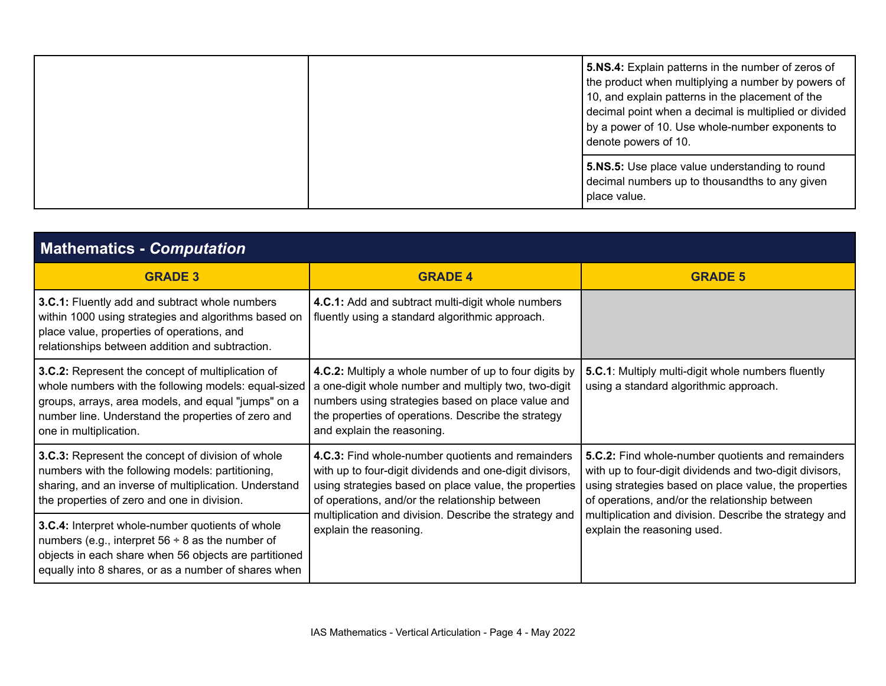|  | 5.NS.4: Explain patterns in the number of zeros of<br>the product when multiplying a number by powers of<br>10, and explain patterns in the placement of the<br>decimal point when a decimal is multiplied or divided<br>by a power of 10. Use whole-number exponents to<br>denote powers of 10. |                                                                                                                  |
|--|--------------------------------------------------------------------------------------------------------------------------------------------------------------------------------------------------------------------------------------------------------------------------------------------------|------------------------------------------------------------------------------------------------------------------|
|  |                                                                                                                                                                                                                                                                                                  | 5.NS.5: Use place value understanding to round<br>decimal numbers up to thousandths to any given<br>place value. |

| <b>Mathematics - Computation</b>                                                                                                                                                                                                                 |                                                                                                                                                                                                                                                          |                                                                                                                                                                                                                         |
|--------------------------------------------------------------------------------------------------------------------------------------------------------------------------------------------------------------------------------------------------|----------------------------------------------------------------------------------------------------------------------------------------------------------------------------------------------------------------------------------------------------------|-------------------------------------------------------------------------------------------------------------------------------------------------------------------------------------------------------------------------|
| <b>GRADE 3</b>                                                                                                                                                                                                                                   | <b>GRADE 4</b>                                                                                                                                                                                                                                           | <b>GRADE 5</b>                                                                                                                                                                                                          |
| 3.C.1: Fluently add and subtract whole numbers<br>within 1000 using strategies and algorithms based on<br>place value, properties of operations, and<br>relationships between addition and subtraction.                                          | 4.C.1: Add and subtract multi-digit whole numbers<br>fluently using a standard algorithmic approach.                                                                                                                                                     |                                                                                                                                                                                                                         |
| 3.C.2: Represent the concept of multiplication of<br>whole numbers with the following models: equal-sized<br>groups, arrays, area models, and equal "jumps" on a<br>number line. Understand the properties of zero and<br>one in multiplication. | 4.C.2: Multiply a whole number of up to four digits by<br>a one-digit whole number and multiply two, two-digit<br>numbers using strategies based on place value and<br>the properties of operations. Describe the strategy<br>and explain the reasoning. | 5.C.1: Multiply multi-digit whole numbers fluently<br>using a standard algorithmic approach.                                                                                                                            |
| 3.C.3: Represent the concept of division of whole<br>numbers with the following models: partitioning,<br>sharing, and an inverse of multiplication. Understand<br>the properties of zero and one in division.                                    | 4.C.3: Find whole-number quotients and remainders<br>with up to four-digit dividends and one-digit divisors,<br>using strategies based on place value, the properties<br>of operations, and/or the relationship between                                  | 5.C.2: Find whole-number quotients and remainders<br>with up to four-digit dividends and two-digit divisors,<br>using strategies based on place value, the properties<br>of operations, and/or the relationship between |
| 3.C.4: Interpret whole-number quotients of whole<br>numbers (e.g., interpret $56 \div 8$ as the number of<br>objects in each share when 56 objects are partitioned<br>equally into 8 shares, or as a number of shares when                       | multiplication and division. Describe the strategy and<br>explain the reasoning.                                                                                                                                                                         | multiplication and division. Describe the strategy and<br>explain the reasoning used.                                                                                                                                   |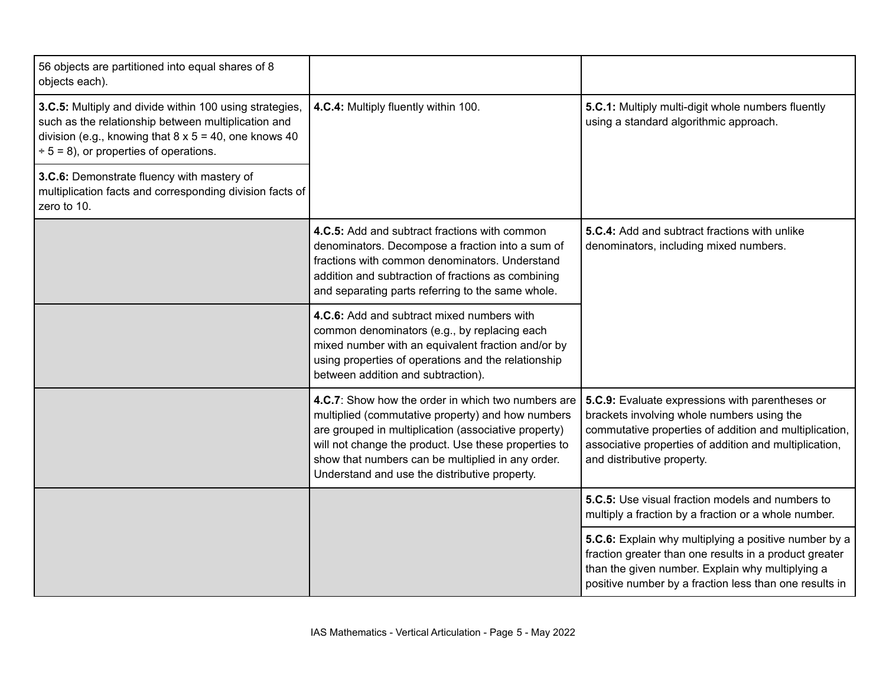| 56 objects are partitioned into equal shares of 8<br>objects each).                                                                                                                                                            |                                                                                                                                                                                                                                                                                                                               |                                                                                                                                                                                                                                                 |
|--------------------------------------------------------------------------------------------------------------------------------------------------------------------------------------------------------------------------------|-------------------------------------------------------------------------------------------------------------------------------------------------------------------------------------------------------------------------------------------------------------------------------------------------------------------------------|-------------------------------------------------------------------------------------------------------------------------------------------------------------------------------------------------------------------------------------------------|
| 3.C.5: Multiply and divide within 100 using strategies,<br>such as the relationship between multiplication and<br>division (e.g., knowing that $8 \times 5 = 40$ , one knows 40<br>$\div$ 5 = 8), or properties of operations. | 4.C.4: Multiply fluently within 100.                                                                                                                                                                                                                                                                                          | 5.C.1: Multiply multi-digit whole numbers fluently<br>using a standard algorithmic approach.                                                                                                                                                    |
| 3.C.6: Demonstrate fluency with mastery of<br>multiplication facts and corresponding division facts of<br>zero to 10.                                                                                                          |                                                                                                                                                                                                                                                                                                                               |                                                                                                                                                                                                                                                 |
|                                                                                                                                                                                                                                | 4.C.5: Add and subtract fractions with common<br>denominators. Decompose a fraction into a sum of<br>fractions with common denominators. Understand<br>addition and subtraction of fractions as combining<br>and separating parts referring to the same whole.                                                                | 5.C.4: Add and subtract fractions with unlike<br>denominators, including mixed numbers.                                                                                                                                                         |
|                                                                                                                                                                                                                                | 4.C.6: Add and subtract mixed numbers with<br>common denominators (e.g., by replacing each<br>mixed number with an equivalent fraction and/or by<br>using properties of operations and the relationship<br>between addition and subtraction).                                                                                 |                                                                                                                                                                                                                                                 |
|                                                                                                                                                                                                                                | 4.C.7: Show how the order in which two numbers are<br>multiplied (commutative property) and how numbers<br>are grouped in multiplication (associative property)<br>will not change the product. Use these properties to<br>show that numbers can be multiplied in any order.<br>Understand and use the distributive property. | 5.C.9: Evaluate expressions with parentheses or<br>brackets involving whole numbers using the<br>commutative properties of addition and multiplication,<br>associative properties of addition and multiplication,<br>and distributive property. |
|                                                                                                                                                                                                                                |                                                                                                                                                                                                                                                                                                                               | 5.C.5: Use visual fraction models and numbers to<br>multiply a fraction by a fraction or a whole number.                                                                                                                                        |
|                                                                                                                                                                                                                                |                                                                                                                                                                                                                                                                                                                               | 5.C.6: Explain why multiplying a positive number by a<br>fraction greater than one results in a product greater<br>than the given number. Explain why multiplying a<br>positive number by a fraction less than one results in                   |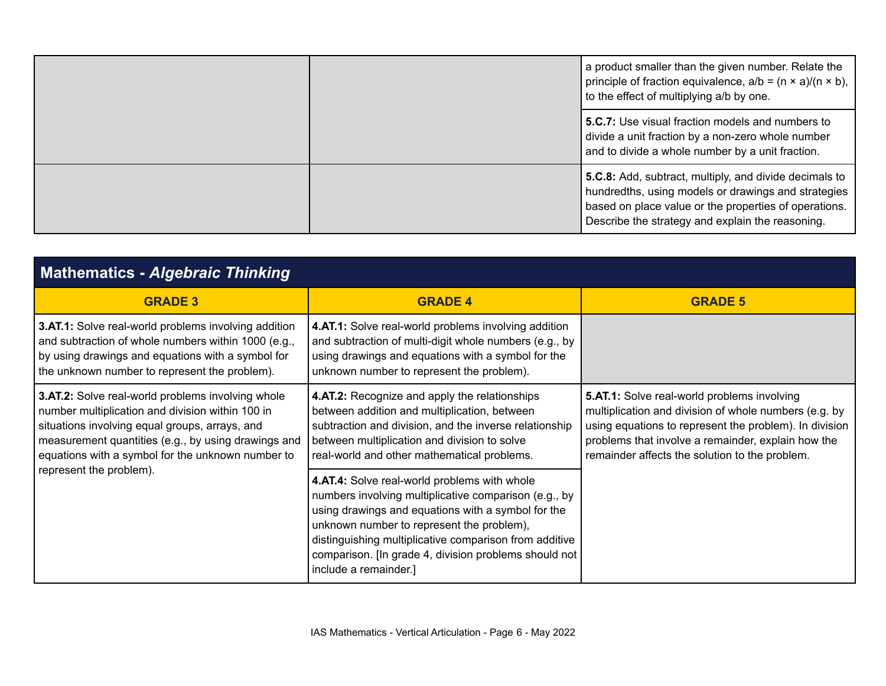|  | a product smaller than the given number. Relate the<br>principle of fraction equivalence, $a/b = (n \times a)/(n \times b)$ ,<br>to the effect of multiplying a/b by one.                                                  |
|--|----------------------------------------------------------------------------------------------------------------------------------------------------------------------------------------------------------------------------|
|  | <b>5.C.7:</b> Use visual fraction models and numbers to<br>divide a unit fraction by a non-zero whole number<br>and to divide a whole number by a unit fraction.                                                           |
|  | 5.C.8: Add, subtract, multiply, and divide decimals to<br>hundredths, using models or drawings and strategies<br>based on place value or the properties of operations.<br>Describe the strategy and explain the reasoning. |

| <b>Mathematics - Algebraic Thinking</b>                                                                                                                                                                                                                             |                                                                                                                                                                                                                                                                                                                                                      |                                                                                                                                                                                                                                                                               |
|---------------------------------------------------------------------------------------------------------------------------------------------------------------------------------------------------------------------------------------------------------------------|------------------------------------------------------------------------------------------------------------------------------------------------------------------------------------------------------------------------------------------------------------------------------------------------------------------------------------------------------|-------------------------------------------------------------------------------------------------------------------------------------------------------------------------------------------------------------------------------------------------------------------------------|
| <b>GRADE 3</b>                                                                                                                                                                                                                                                      | <b>GRADE 4</b>                                                                                                                                                                                                                                                                                                                                       | <b>GRADE 5</b>                                                                                                                                                                                                                                                                |
| 3.AT.1: Solve real-world problems involving addition<br>and subtraction of whole numbers within 1000 (e.g.,<br>by using drawings and equations with a symbol for<br>the unknown number to represent the problem).                                                   | 4.AT.1: Solve real-world problems involving addition<br>and subtraction of multi-digit whole numbers (e.g., by<br>using drawings and equations with a symbol for the<br>unknown number to represent the problem).                                                                                                                                    |                                                                                                                                                                                                                                                                               |
| 3.AT.2: Solve real-world problems involving whole<br>number multiplication and division within 100 in<br>situations involving equal groups, arrays, and<br>measurement quantities (e.g., by using drawings and<br>equations with a symbol for the unknown number to | 4.AT.2: Recognize and apply the relationships<br>between addition and multiplication, between<br>subtraction and division, and the inverse relationship<br>between multiplication and division to solve<br>real-world and other mathematical problems.                                                                                               | <b>5.AT.1:</b> Solve real-world problems involving<br>multiplication and division of whole numbers (e.g. by<br>using equations to represent the problem). In division<br>problems that involve a remainder, explain how the<br>remainder affects the solution to the problem. |
| represent the problem).                                                                                                                                                                                                                                             | 4.AT.4: Solve real-world problems with whole<br>numbers involving multiplicative comparison (e.g., by<br>using drawings and equations with a symbol for the<br>unknown number to represent the problem),<br>distinguishing multiplicative comparison from additive<br>comparison. [In grade 4, division problems should not<br>include a remainder.] |                                                                                                                                                                                                                                                                               |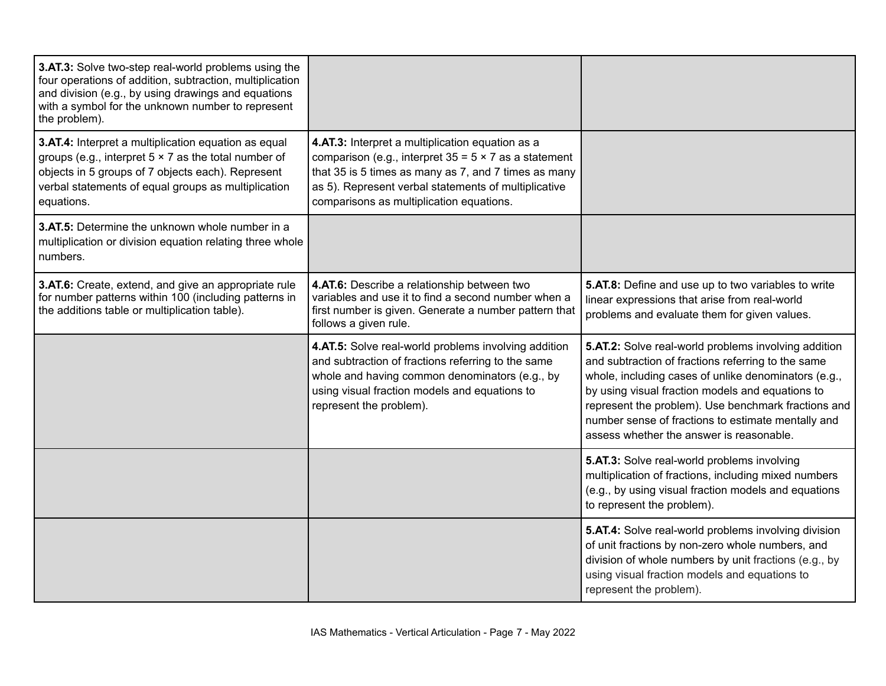| 3.AT.3: Solve two-step real-world problems using the<br>four operations of addition, subtraction, multiplication<br>and division (e.g., by using drawings and equations<br>with a symbol for the unknown number to represent<br>the problem). |                                                                                                                                                                                                                                                                              |                                                                                                                                                                                                                                                                                                                                                                                 |
|-----------------------------------------------------------------------------------------------------------------------------------------------------------------------------------------------------------------------------------------------|------------------------------------------------------------------------------------------------------------------------------------------------------------------------------------------------------------------------------------------------------------------------------|---------------------------------------------------------------------------------------------------------------------------------------------------------------------------------------------------------------------------------------------------------------------------------------------------------------------------------------------------------------------------------|
| 3.AT.4: Interpret a multiplication equation as equal<br>groups (e.g., interpret $5 \times 7$ as the total number of<br>objects in 5 groups of 7 objects each). Represent<br>verbal statements of equal groups as multiplication<br>equations. | 4.AT.3: Interpret a multiplication equation as a<br>comparison (e.g., interpret $35 = 5 \times 7$ as a statement<br>that 35 is 5 times as many as 7, and 7 times as many<br>as 5). Represent verbal statements of multiplicative<br>comparisons as multiplication equations. |                                                                                                                                                                                                                                                                                                                                                                                 |
| 3.AT.5: Determine the unknown whole number in a<br>multiplication or division equation relating three whole<br>numbers.                                                                                                                       |                                                                                                                                                                                                                                                                              |                                                                                                                                                                                                                                                                                                                                                                                 |
| 3.AT.6: Create, extend, and give an appropriate rule<br>for number patterns within 100 (including patterns in<br>the additions table or multiplication table).                                                                                | 4.AT.6: Describe a relationship between two<br>variables and use it to find a second number when a<br>first number is given. Generate a number pattern that<br>follows a given rule.                                                                                         | 5.AT.8: Define and use up to two variables to write<br>linear expressions that arise from real-world<br>problems and evaluate them for given values.                                                                                                                                                                                                                            |
|                                                                                                                                                                                                                                               | 4.AT.5: Solve real-world problems involving addition<br>and subtraction of fractions referring to the same<br>whole and having common denominators (e.g., by<br>using visual fraction models and equations to<br>represent the problem).                                     | 5.AT.2: Solve real-world problems involving addition<br>and subtraction of fractions referring to the same<br>whole, including cases of unlike denominators (e.g.,<br>by using visual fraction models and equations to<br>represent the problem). Use benchmark fractions and<br>number sense of fractions to estimate mentally and<br>assess whether the answer is reasonable. |
|                                                                                                                                                                                                                                               |                                                                                                                                                                                                                                                                              | 5.AT.3: Solve real-world problems involving<br>multiplication of fractions, including mixed numbers<br>(e.g., by using visual fraction models and equations<br>to represent the problem).                                                                                                                                                                                       |
|                                                                                                                                                                                                                                               |                                                                                                                                                                                                                                                                              | 5.AT.4: Solve real-world problems involving division<br>of unit fractions by non-zero whole numbers, and<br>division of whole numbers by unit fractions (e.g., by<br>using visual fraction models and equations to<br>represent the problem).                                                                                                                                   |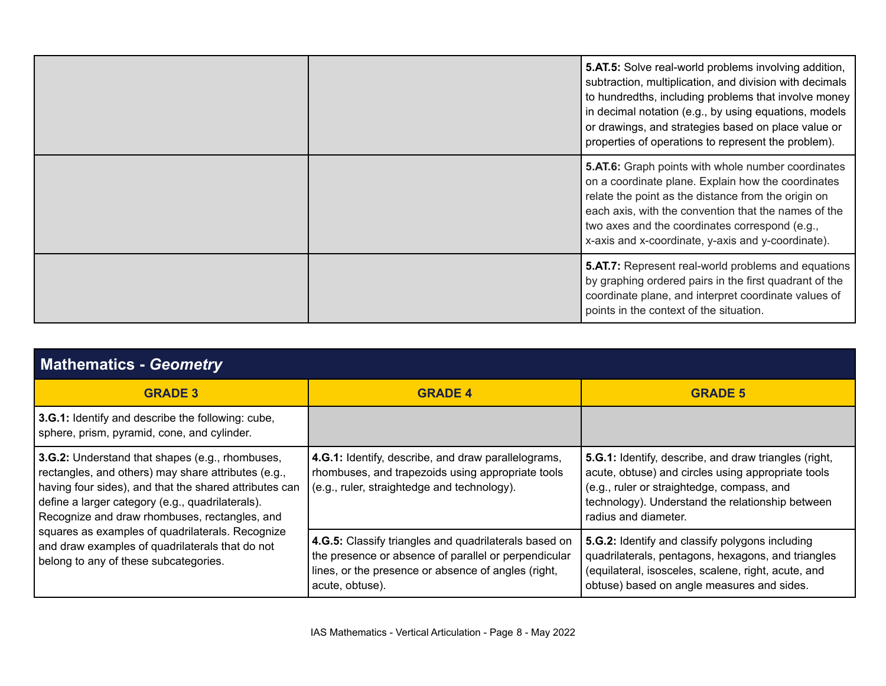|  | <b>5.AT.5:</b> Solve real-world problems involving addition,<br>subtraction, multiplication, and division with decimals<br>to hundredths, including problems that involve money<br>in decimal notation (e.g., by using equations, models<br>or drawings, and strategies based on place value or<br>properties of operations to represent the problem). |
|--|--------------------------------------------------------------------------------------------------------------------------------------------------------------------------------------------------------------------------------------------------------------------------------------------------------------------------------------------------------|
|  | <b>5.AT.6:</b> Graph points with whole number coordinates<br>on a coordinate plane. Explain how the coordinates<br>relate the point as the distance from the origin on<br>each axis, with the convention that the names of the<br>two axes and the coordinates correspond (e.g.,<br>x-axis and x-coordinate, y-axis and y-coordinate).                 |
|  | <b>5.AT.7:</b> Represent real-world problems and equations<br>by graphing ordered pairs in the first quadrant of the<br>coordinate plane, and interpret coordinate values of<br>points in the context of the situation.                                                                                                                                |

| <b>Mathematics - Geometry</b>                                                                                                                                                                                                                                         |                                                                                                                                                                                         |                                                                                                                                                                                                                                       |
|-----------------------------------------------------------------------------------------------------------------------------------------------------------------------------------------------------------------------------------------------------------------------|-----------------------------------------------------------------------------------------------------------------------------------------------------------------------------------------|---------------------------------------------------------------------------------------------------------------------------------------------------------------------------------------------------------------------------------------|
| <b>GRADE 3</b>                                                                                                                                                                                                                                                        | <b>GRADE 4</b>                                                                                                                                                                          | <b>GRADE 5</b>                                                                                                                                                                                                                        |
| 3.G.1: Identify and describe the following: cube,<br>sphere, prism, pyramid, cone, and cylinder.                                                                                                                                                                      |                                                                                                                                                                                         |                                                                                                                                                                                                                                       |
| 3.G.2: Understand that shapes (e.g., rhombuses,<br>rectangles, and others) may share attributes (e.g.,<br>having four sides), and that the shared attributes can<br>define a larger category (e.g., quadrilaterals).<br>Recognize and draw rhombuses, rectangles, and | 4.G.1: Identify, describe, and draw parallelograms,<br>rhombuses, and trapezoids using appropriate tools<br>(e.g., ruler, straightedge and technology).                                 | 5.G.1: Identify, describe, and draw triangles (right,<br>acute, obtuse) and circles using appropriate tools<br>(e.g., ruler or straightedge, compass, and<br>technology). Understand the relationship between<br>radius and diameter. |
| squares as examples of quadrilaterals. Recognize<br>and draw examples of quadrilaterals that do not<br>belong to any of these subcategories.                                                                                                                          | 4.G.5: Classify triangles and quadrilaterals based on<br>the presence or absence of parallel or perpendicular<br>lines, or the presence or absence of angles (right,<br>acute, obtuse). | 5.G.2: Identify and classify polygons including<br>quadrilaterals, pentagons, hexagons, and triangles<br>(equilateral, isosceles, scalene, right, acute, and<br>obtuse) based on angle measures and sides.                            |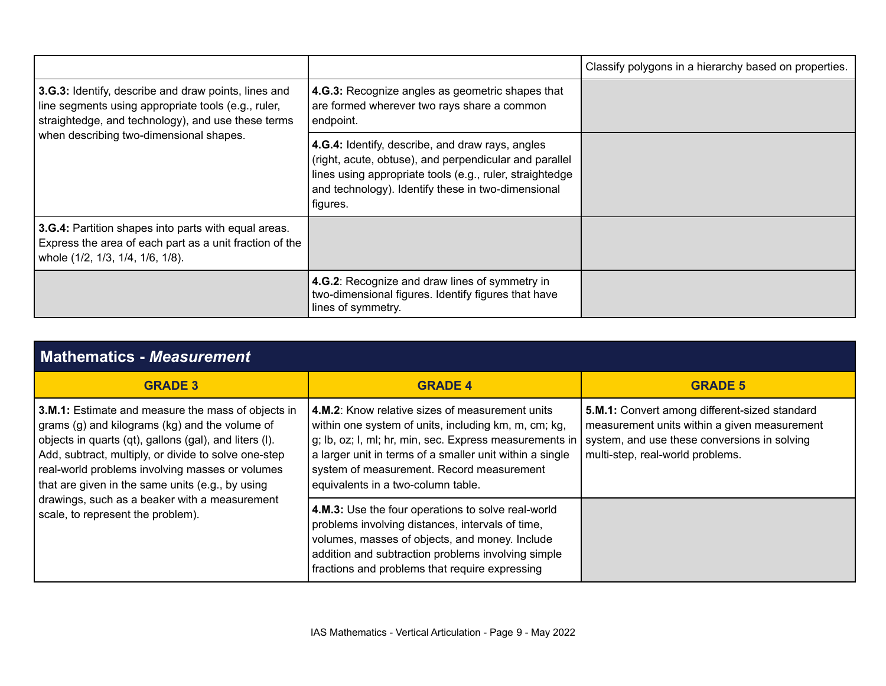|                                                                                                                                                                                                              |                                                                                                                                                                                                                                          | Classify polygons in a hierarchy based on properties. |
|--------------------------------------------------------------------------------------------------------------------------------------------------------------------------------------------------------------|------------------------------------------------------------------------------------------------------------------------------------------------------------------------------------------------------------------------------------------|-------------------------------------------------------|
| 3.G.3: Identify, describe and draw points, lines and<br>line segments using appropriate tools (e.g., ruler,<br>straightedge, and technology), and use these terms<br>when describing two-dimensional shapes. | 4.G.3: Recognize angles as geometric shapes that<br>are formed wherever two rays share a common<br>endpoint.                                                                                                                             |                                                       |
|                                                                                                                                                                                                              | 4.G.4: Identify, describe, and draw rays, angles<br>(right, acute, obtuse), and perpendicular and parallel<br>lines using appropriate tools (e.g., ruler, straightedge<br>and technology). Identify these in two-dimensional<br>figures. |                                                       |
| 3.G.4: Partition shapes into parts with equal areas.<br>Express the area of each part as a unit fraction of the<br>whole (1/2, 1/3, 1/4, 1/6, 1/8).                                                          |                                                                                                                                                                                                                                          |                                                       |
|                                                                                                                                                                                                              | 4.G.2: Recognize and draw lines of symmetry in<br>two-dimensional figures. Identify figures that have<br>lines of symmetry.                                                                                                              |                                                       |

| <b>GRADE 3</b>                                                                                                                                                                                                                                                                                                                                                                                                      | <b>GRADE 4</b>                                                                                                                                                                                                                                                                                                           | <b>GRADE 5</b>                                                                                                                                                                    |
|---------------------------------------------------------------------------------------------------------------------------------------------------------------------------------------------------------------------------------------------------------------------------------------------------------------------------------------------------------------------------------------------------------------------|--------------------------------------------------------------------------------------------------------------------------------------------------------------------------------------------------------------------------------------------------------------------------------------------------------------------------|-----------------------------------------------------------------------------------------------------------------------------------------------------------------------------------|
| 3.M.1: Estimate and measure the mass of objects in<br>grams (g) and kilograms (kg) and the volume of<br>objects in quarts (qt), gallons (gal), and liters (I).<br>Add, subtract, multiply, or divide to solve one-step<br>real-world problems involving masses or volumes<br>that are given in the same units (e.g., by using<br>drawings, such as a beaker with a measurement<br>scale, to represent the problem). | <b>4.M.2:</b> Know relative sizes of measurement units<br>within one system of units, including km, m, cm; kg,<br>g; lb, oz; l, ml; hr, min, sec. Express measurements in<br>a larger unit in terms of a smaller unit within a single<br>system of measurement. Record measurement<br>equivalents in a two-column table. | 5.M.1: Convert among different-sized standard<br>measurement units within a given measurement<br>system, and use these conversions in solving<br>multi-step, real-world problems. |
|                                                                                                                                                                                                                                                                                                                                                                                                                     | 4.M.3: Use the four operations to solve real-world<br>problems involving distances, intervals of time,<br>volumes, masses of objects, and money. Include<br>addition and subtraction problems involving simple<br>fractions and problems that require expressing                                                         |                                                                                                                                                                                   |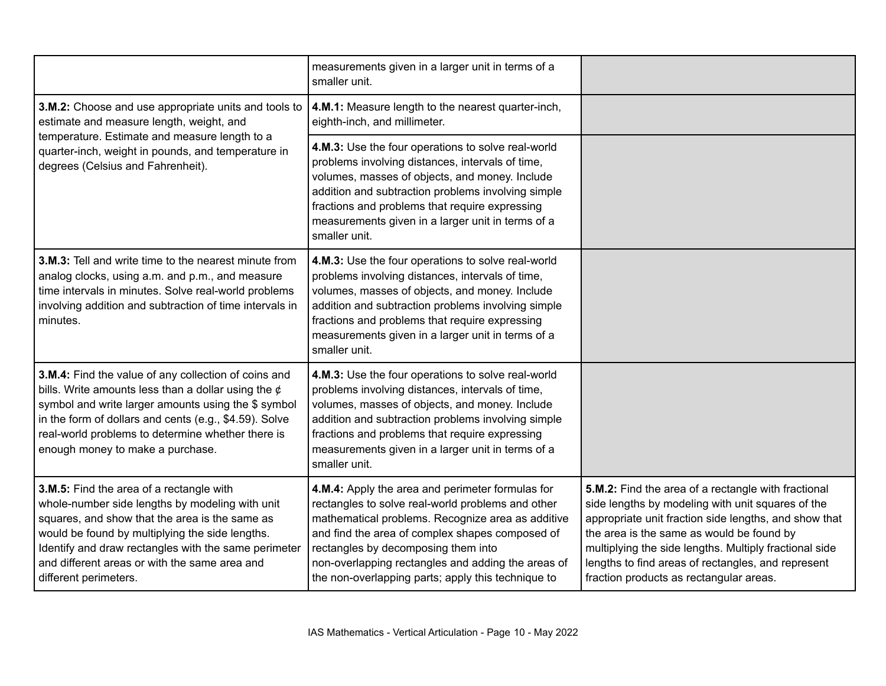|                                                                                                                                                                                                                                                                                                                                    | measurements given in a larger unit in terms of a<br>smaller unit.                                                                                                                                                                                                                                                                                               |                                                                                                                                                                                                                                                                                                                                                                           |
|------------------------------------------------------------------------------------------------------------------------------------------------------------------------------------------------------------------------------------------------------------------------------------------------------------------------------------|------------------------------------------------------------------------------------------------------------------------------------------------------------------------------------------------------------------------------------------------------------------------------------------------------------------------------------------------------------------|---------------------------------------------------------------------------------------------------------------------------------------------------------------------------------------------------------------------------------------------------------------------------------------------------------------------------------------------------------------------------|
| 3.M.2: Choose and use appropriate units and tools to<br>estimate and measure length, weight, and<br>temperature. Estimate and measure length to a<br>quarter-inch, weight in pounds, and temperature in<br>degrees (Celsius and Fahrenheit).                                                                                       | 4.M.1: Measure length to the nearest quarter-inch,<br>eighth-inch, and millimeter.                                                                                                                                                                                                                                                                               |                                                                                                                                                                                                                                                                                                                                                                           |
|                                                                                                                                                                                                                                                                                                                                    | 4.M.3: Use the four operations to solve real-world<br>problems involving distances, intervals of time,<br>volumes, masses of objects, and money. Include<br>addition and subtraction problems involving simple<br>fractions and problems that require expressing<br>measurements given in a larger unit in terms of a<br>smaller unit.                           |                                                                                                                                                                                                                                                                                                                                                                           |
| 3.M.3: Tell and write time to the nearest minute from<br>analog clocks, using a.m. and p.m., and measure<br>time intervals in minutes. Solve real-world problems<br>involving addition and subtraction of time intervals in<br>minutes.                                                                                            | 4.M.3: Use the four operations to solve real-world<br>problems involving distances, intervals of time,<br>volumes, masses of objects, and money. Include<br>addition and subtraction problems involving simple<br>fractions and problems that require expressing<br>measurements given in a larger unit in terms of a<br>smaller unit.                           |                                                                                                                                                                                                                                                                                                                                                                           |
| 3.M.4: Find the value of any collection of coins and<br>bills. Write amounts less than a dollar using the $\phi$<br>symbol and write larger amounts using the \$ symbol<br>in the form of dollars and cents (e.g., \$4.59). Solve<br>real-world problems to determine whether there is<br>enough money to make a purchase.         | 4.M.3: Use the four operations to solve real-world<br>problems involving distances, intervals of time,<br>volumes, masses of objects, and money. Include<br>addition and subtraction problems involving simple<br>fractions and problems that require expressing<br>measurements given in a larger unit in terms of a<br>smaller unit.                           |                                                                                                                                                                                                                                                                                                                                                                           |
| 3.M.5: Find the area of a rectangle with<br>whole-number side lengths by modeling with unit<br>squares, and show that the area is the same as<br>would be found by multiplying the side lengths.<br>Identify and draw rectangles with the same perimeter<br>and different areas or with the same area and<br>different perimeters. | 4.M.4: Apply the area and perimeter formulas for<br>rectangles to solve real-world problems and other<br>mathematical problems. Recognize area as additive<br>and find the area of complex shapes composed of<br>rectangles by decomposing them into<br>non-overlapping rectangles and adding the areas of<br>the non-overlapping parts; apply this technique to | 5.M.2: Find the area of a rectangle with fractional<br>side lengths by modeling with unit squares of the<br>appropriate unit fraction side lengths, and show that<br>the area is the same as would be found by<br>multiplying the side lengths. Multiply fractional side<br>lengths to find areas of rectangles, and represent<br>fraction products as rectangular areas. |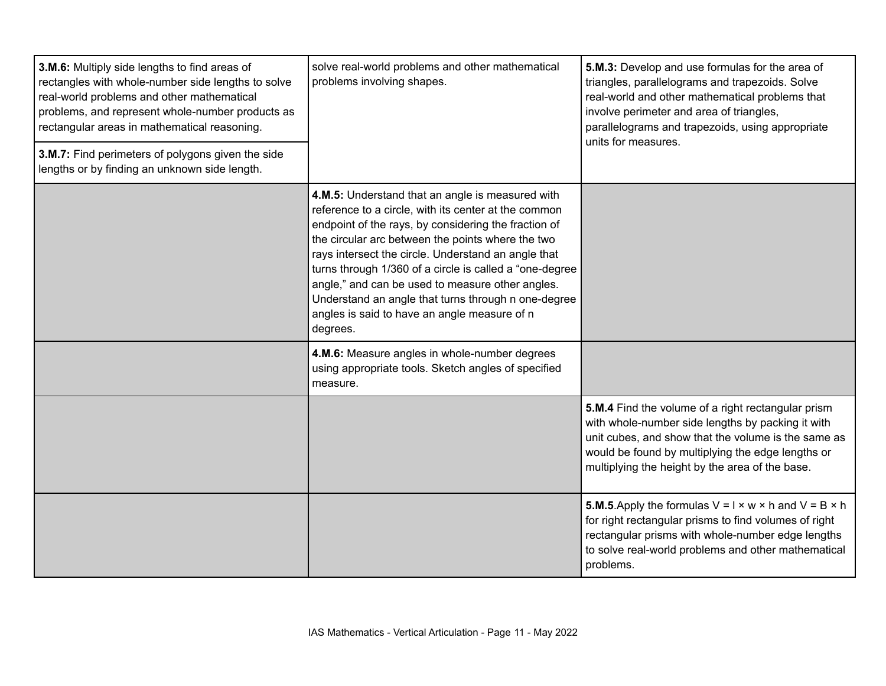| 3.M.6: Multiply side lengths to find areas of<br>rectangles with whole-number side lengths to solve<br>real-world problems and other mathematical<br>problems, and represent whole-number products as<br>rectangular areas in mathematical reasoning.<br>3.M.7: Find perimeters of polygons given the side<br>lengths or by finding an unknown side length. | solve real-world problems and other mathematical<br>problems involving shapes.                                                                                                                                                                                                                                                                                                                                                                                                                                 | 5.M.3: Develop and use formulas for the area of<br>triangles, parallelograms and trapezoids. Solve<br>real-world and other mathematical problems that<br>involve perimeter and area of triangles,<br>parallelograms and trapezoids, using appropriate<br>units for measures. |
|-------------------------------------------------------------------------------------------------------------------------------------------------------------------------------------------------------------------------------------------------------------------------------------------------------------------------------------------------------------|----------------------------------------------------------------------------------------------------------------------------------------------------------------------------------------------------------------------------------------------------------------------------------------------------------------------------------------------------------------------------------------------------------------------------------------------------------------------------------------------------------------|------------------------------------------------------------------------------------------------------------------------------------------------------------------------------------------------------------------------------------------------------------------------------|
|                                                                                                                                                                                                                                                                                                                                                             | 4.M.5: Understand that an angle is measured with<br>reference to a circle, with its center at the common<br>endpoint of the rays, by considering the fraction of<br>the circular arc between the points where the two<br>rays intersect the circle. Understand an angle that<br>turns through 1/360 of a circle is called a "one-degree<br>angle," and can be used to measure other angles.<br>Understand an angle that turns through n one-degree<br>angles is said to have an angle measure of n<br>degrees. |                                                                                                                                                                                                                                                                              |
|                                                                                                                                                                                                                                                                                                                                                             | 4.M.6: Measure angles in whole-number degrees<br>using appropriate tools. Sketch angles of specified<br>measure.                                                                                                                                                                                                                                                                                                                                                                                               |                                                                                                                                                                                                                                                                              |
|                                                                                                                                                                                                                                                                                                                                                             |                                                                                                                                                                                                                                                                                                                                                                                                                                                                                                                | 5.M.4 Find the volume of a right rectangular prism<br>with whole-number side lengths by packing it with<br>unit cubes, and show that the volume is the same as<br>would be found by multiplying the edge lengths or<br>multiplying the height by the area of the base.       |
|                                                                                                                                                                                                                                                                                                                                                             |                                                                                                                                                                                                                                                                                                                                                                                                                                                                                                                | <b>5.M.5</b> . Apply the formulas $V = I \times w \times h$ and $V = B \times h$<br>for right rectangular prisms to find volumes of right<br>rectangular prisms with whole-number edge lengths<br>to solve real-world problems and other mathematical<br>problems.           |